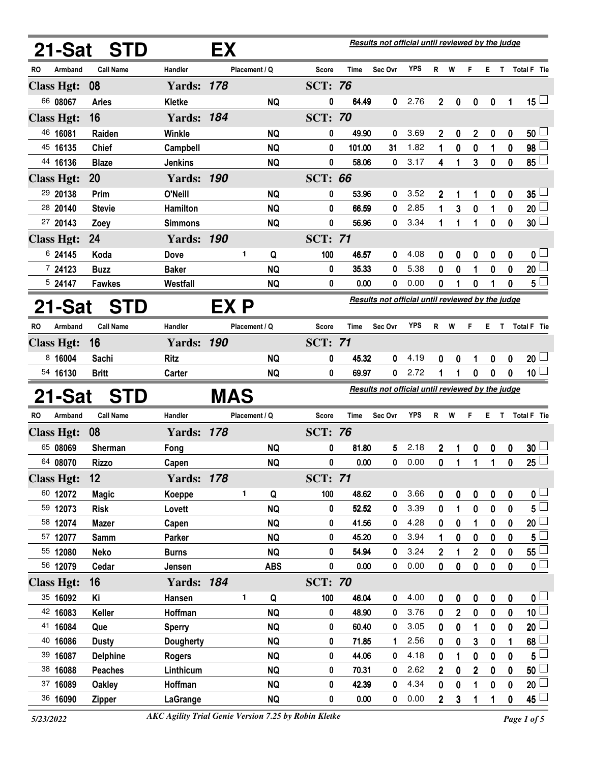| 21-Sat                       |         | <b>STD</b>                     |                     | ЕX  |                        |                |                                                  | Results not official until reviewed by the judge |              |             |             |                         |              |        |                         |
|------------------------------|---------|--------------------------------|---------------------|-----|------------------------|----------------|--------------------------------------------------|--------------------------------------------------|--------------|-------------|-------------|-------------------------|--------------|--------|-------------------------|
| RO                           | Armband | <b>Call Name</b>               | Handler             |     | Placement / Q          | <b>Score</b>   | Time                                             | Sec Ovr                                          | YPS          | R           | W           | F                       | E.           | T      | Total F Tie             |
| <b>Class Hgt:</b>            |         | 08                             | <b>Yards: 178</b>   |     |                        | <b>SCT: 76</b> |                                                  |                                                  |              |             |             |                         |              |        |                         |
| 66 08067                     |         | <b>Aries</b>                   | Kletke              |     | <b>NQ</b>              | 0              | 64.49                                            | 0                                                | 2.76         | $\mathbf 2$ | 0           | 0                       | 0            | 1      | $15 -$                  |
| <b>Class Hgt:</b>            |         | 16                             | <b>Yards: 184</b>   |     |                        | <b>SCT: 70</b> |                                                  |                                                  |              |             |             |                         |              |        |                         |
| 46 16081                     |         | Raiden                         | Winkle              |     | <b>NQ</b>              | 0              | 49.90                                            | 0                                                | 3.69         | 2           | 0           | $\mathbf{2}$            | 0            | 0      | 50 <sup>1</sup>         |
| 45 16135                     |         | <b>Chief</b>                   | Campbell            |     | <b>NQ</b>              | 0              | 101.00                                           | 31                                               | 1.82         | 1           | 0           | 0                       | 1            | 0      | 98 <sup>1</sup>         |
| 44 16136                     |         | <b>Blaze</b>                   | <b>Jenkins</b>      |     | <b>NQ</b>              | 0              | 58.06                                            | 0                                                | 3.17         | 4           | 1           | 3                       | 0            | 0      | 85 <sup>1</sup>         |
| <b>Class Hgt:</b>            |         | 20                             | <b>Yards: 190</b>   |     |                        | <b>SCT: 66</b> |                                                  |                                                  |              |             |             |                         |              |        |                         |
| 29 20138                     |         | Prim                           | O'Neill             |     | <b>NQ</b>              | 0              | 53.96                                            | 0                                                | 3.52         | 2           | 1           | 1                       | 0            | 0      | $35\perp$               |
| 28 20140                     |         | <b>Stevie</b>                  | Hamilton            |     | <b>NQ</b>              | 0              | 66.59                                            | 0                                                | 2.85         | 1           | 3           | 0                       | 1            | 0      | 20                      |
| 27 20143                     |         | Zoey                           | <b>Simmons</b>      |     | <b>NQ</b>              | 0              | 56.96                                            | 0                                                | 3.34         | 1           | 1           | 1                       | 0            | 0      | $30\perp$               |
| <b>Class Hgt:</b>            |         | 24                             | <b>Yards: 190</b>   |     |                        | <b>SCT: 71</b> |                                                  |                                                  |              |             |             |                         |              |        |                         |
| 6 24145                      |         | Koda                           | <b>Dove</b>         | 1   | Q                      | 100            | 46.57                                            | 0                                                | 4.08         | 0           | 0           | 0                       | 0            | 0      | 0 <sub>1</sub>          |
| 724123                       |         | <b>Buzz</b>                    | <b>Baker</b>        |     | <b>NQ</b>              | 0              | 35.33                                            | 0                                                | 5.38         | 0           | 0           | 1                       | 0            | 0      | $20\perp$               |
| 524147                       |         | <b>Fawkes</b>                  | Westfall            |     | <b>NQ</b>              | 0              | 0.00                                             | 0                                                | 0.00         | 0           | 1           | 0                       | 1            | 0      | 5 <sup>L</sup>          |
| 21-Sat<br><b>STD</b><br>EX P |         |                                |                     |     |                        |                | Results not official until reviewed by the judge |                                                  |              |             |             |                         |              |        |                         |
| RO                           | Armband | <b>Call Name</b>               | Handler             |     | Placement / Q          | <b>Score</b>   | <b>Time</b>                                      | Sec Ovr                                          | <b>YPS</b>   | R           | W           | F                       | Е            | T      | <b>Total F</b> Tie      |
| <b>Class Hgt:</b>            |         | 16                             | <b>Yards: 190</b>   |     |                        | <b>SCT: 71</b> |                                                  |                                                  |              |             |             |                         |              |        |                         |
| 8 16004                      |         | Sachi                          | <b>Ritz</b>         |     | <b>NQ</b>              | 0              | 45.32                                            | 0                                                | 4.19         | 0           | 0           | 1                       | 0            | 0      | 20 <sup>1</sup>         |
| 54 16130                     |         | <b>Britt</b>                   | Carter              |     | <b>NQ</b>              | 0              | 69.97                                            | $\mathbf{0}$                                     | 2.72         | 1           | 1           | 0                       | $\mathbf{0}$ | 0      | 10 $\lfloor$            |
| 21-Sat                       |         | STD                            |                     | MAS |                        |                |                                                  | Results not official until reviewed by the judge |              |             |             |                         |              |        |                         |
| <b>RO</b>                    | Armband | <b>Call Name</b>               | Handler             |     | Placement / Q          | <b>Score</b>   | <b>Time</b>                                      | Sec Ovr                                          | <b>YPS</b>   | R           | W           | F                       | Е.           | T.     | <b>Total F</b> Tie      |
| <b>Class Hgt:</b>            |         | 08                             | <b>Yards: 178</b>   |     |                        | <b>SCT: 76</b> |                                                  |                                                  |              |             |             |                         |              |        |                         |
| 65 08069                     |         | <b>Sherman</b>                 | Fong                |     | <b>NQ</b>              | 0              | 81.80                                            | 5                                                | 2.18         | 2           | 1           | 0                       | 0            | 0      | 30 <sup>L</sup>         |
| 64 08070                     |         | <b>Rizzo</b>                   | Capen               |     | <b>NQ</b>              | 0              | 0.00                                             | 0                                                | 0.00         | 0           | 1           | 1                       | 1            | 0      | 25                      |
| <b>Class Hgt:</b>            |         | 12                             | <b>Yards: 178</b>   |     |                        | <b>SCT: 71</b> |                                                  |                                                  |              |             |             |                         |              |        |                         |
| 60 12072                     |         | <b>Magic</b>                   | Koeppe              | 1   |                        |                |                                                  |                                                  |              |             |             |                         |              |        |                         |
| 59 12073                     |         |                                |                     |     | Q                      | 100            | 48.62                                            | 0                                                | 3.66         | 0           | 0           | $\mathbf 0$             | 0            | 0      | 0 <sub>1</sub>          |
|                              |         | <b>Risk</b>                    | Lovett              |     | <b>NQ</b>              | 0              | 52.52                                            | 0                                                | 3.39         | 0           | 1           | 0                       | 0            | 0      | $5^{\degree}$           |
| 58 12074                     |         | <b>Mazer</b>                   | Capen               |     | <b>NQ</b>              | 0              | 41.56                                            | 0                                                | 4.28         | 0           | 0           | 1                       | 0            | 0      | 20 <sup>1</sup>         |
| 57 12077                     |         | <b>Samm</b>                    | Parker              |     | <b>NQ</b>              | 0              | 45.20                                            | 0                                                | 3.94         | 1           | 0           | $\mathbf 0$             | 0            | 0      | 5                       |
| 55 12080                     |         | <b>Neko</b>                    | <b>Burns</b>        |     | <b>NQ</b>              | 0              | 54.94                                            | 0                                                | 3.24         | 2           | 1           | $\overline{\mathbf{2}}$ | 0            | 0      | 55L                     |
| 56 12079                     |         | Cedar                          | Jensen              |     | <b>ABS</b>             | 0              | 0.00                                             | 0                                                | 0.00         | 0           | 0           | $\mathbf 0$             | 0            | 0      | $\overline{\mathbf{0}}$ |
| <b>Class Hgt:</b>            |         | 16                             | <b>Yards: 184</b>   |     |                        | <b>SCT: 70</b> |                                                  |                                                  |              |             |             |                         |              |        |                         |
| 35 16092                     |         | Κi                             | Hansen              | 1   | Q                      | 100            | 46.04                                            | 0                                                | 4.00         | 0           | 0           | $\boldsymbol{0}$        | $\bf{0}$     | 0      | 0 <sub>0</sub>          |
| 42 16083                     |         | Keller                         | Hoffman             |     | <b>NQ</b>              | 0              | 48.90                                            | 0                                                | 3.76         | 0           | $\mathbf 2$ | $\boldsymbol{0}$        | 0            | 0      | $\overline{10}$         |
| 41 16084                     |         | Que                            | <b>Sperry</b>       |     | <b>NQ</b>              | 0              | 60.40                                            | $\bf{0}$                                         | 3.05         | 0           | $\bf{0}$    | 1                       | 0            | 0      | 20 <sub>2</sub>         |
| 40 16086                     |         | <b>Dusty</b>                   | <b>Dougherty</b>    |     | <b>NQ</b>              | 0              | 71.85                                            | 1                                                | 2.56         | 0           | 0           | 3                       | 0            | 1      | 68                      |
| 39 16087                     |         | <b>Delphine</b>                | <b>Rogers</b>       |     | <b>NQ</b>              | 0              | 44.06                                            | 0                                                | 4.18         | 0           | 1           | 0                       | 0            | 0      | 5                       |
| 38 16088                     |         | Peaches                        | Linthicum           |     | <b>NQ</b>              | 0              | 70.31                                            | 0                                                | 2.62         | 2           | 0           | $\overline{\mathbf{2}}$ | 0            | 0      | 50                      |
| 37 16089<br>36 16090         |         | <b>Oakley</b><br><b>Zipper</b> | Hoffman<br>LaGrange |     | <b>NQ</b><br><b>NQ</b> | 0<br>0         | 42.39<br>0.00                                    | 0<br>0                                           | 4.34<br>0.00 | 0<br>2      | 0<br>3      | 1<br>1                  | 0<br>1       | 0<br>0 | 20<br>$45\perp$         |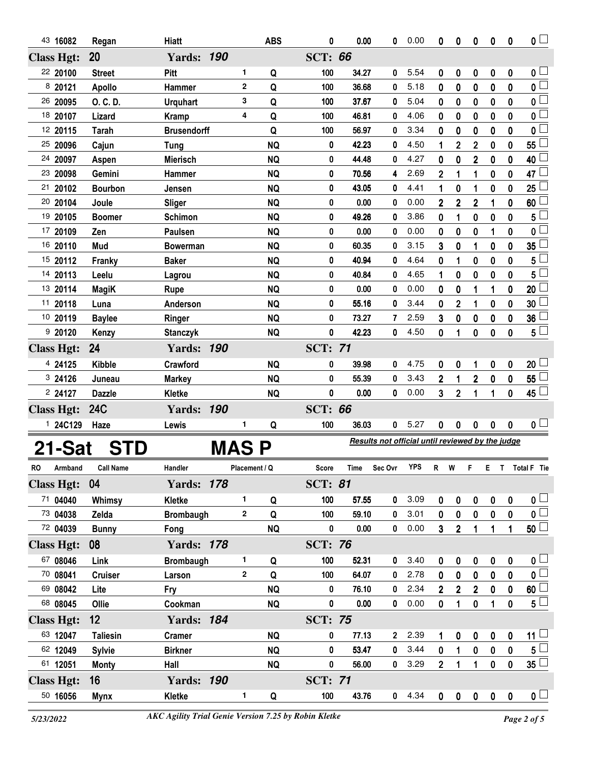| 43 16082                      | Regan              | <b>Hiatt</b>              |                    | <b>ABS</b> | 0              | 0.00           | 0                                                | 0.00       | 0                 | 0                   | 0              | 0                | 0           | $\overline{0}$                                 |
|-------------------------------|--------------------|---------------------------|--------------------|------------|----------------|----------------|--------------------------------------------------|------------|-------------------|---------------------|----------------|------------------|-------------|------------------------------------------------|
| <b>Class Hgt:</b>             | 20                 | <b>Yards: 190</b>         |                    |            | <b>SCT: 66</b> |                |                                                  |            |                   |                     |                |                  |             |                                                |
| 22 20100                      | <b>Street</b>      | Pitt                      | 1                  | Q          | 100            | 34.27          | 0                                                | 5.54       | 0                 | 0                   | 0              | 0                | 0           | 0 <sub>0</sub>                                 |
| 8 20121                       | <b>Apollo</b>      | Hammer                    | $\mathbf 2$        | Q          | 100            | 36.68          | 0                                                | 5.18       | 0                 | 0                   | 0              | 0                | 0           | $\overline{\mathbf{0}}$                        |
| 26 20095                      | O. C. D.           | <b>Urquhart</b>           | 3                  | Q          | 100            | 37.67          | 0                                                | 5.04       | 0                 | $\bf{0}$            | $\bf{0}$       | $\bf{0}$         | 0           | $\mathbf{0}$                                   |
| 18 20107                      | Lizard             | <b>Kramp</b>              | 4                  | Q          | 100            | 46.81          | 0                                                | 4.06       | 0                 | 0                   | 0              | 0                | 0           | $\mathbf 0$                                    |
| 12 20115                      | <b>Tarah</b>       | <b>Brusendorff</b>        |                    | Q          | 100            | 56.97          | 0                                                | 3.34       | 0                 | 0                   | $\bf{0}$       | $\bf{0}$         | 0           | $\bf{0}$                                       |
| 25 20096                      | Cajun              | Tung                      |                    | <b>NQ</b>  | 0              | 42.23          | 0                                                | 4.50       | 1                 | $\boldsymbol{2}$    | $\overline{2}$ | $\bf{0}$         | 0           | 55                                             |
| 24 20097                      | Aspen              | <b>Mierisch</b>           |                    | <b>NQ</b>  | 0              | 44.48          | 0                                                | 4.27       | 0                 | 0                   | $\overline{2}$ | 0                | $\bf{0}$    | 40                                             |
| 23 20098                      | Gemini             | Hammer                    |                    | <b>NQ</b>  | 0              | 70.56          | 4                                                | 2.69       | $\overline{2}$    | 1                   | 1              | 0                | 0           | 47                                             |
| 21<br>20102                   | <b>Bourbon</b>     | Jensen                    |                    | <b>NQ</b>  | 0              | 43.05          | 0                                                | 4.41       | 1                 | 0                   | 1              | 0                | 0           | 25                                             |
| 20 20104                      | Joule              | <b>Sliger</b>             |                    | <b>NQ</b>  | 0              | 0.00           | 0                                                | 0.00       | $\overline{2}$    | $\overline{2}$      | $\overline{2}$ |                  | 0           | 60                                             |
| 19 20105                      | <b>Boomer</b>      | <b>Schimon</b>            |                    | <b>NQ</b>  | 0              | 49.26          | 0                                                | 3.86       | 0                 | 1                   | 0              | 0                | 0           | 5                                              |
| 17 20109                      | Zen                | Paulsen                   |                    | <b>NQ</b>  | 0              | 0.00           | 0                                                | 0.00       | 0                 | 0                   | 0              |                  | 0           | 0                                              |
| 16 20110                      | Mud                | <b>Bowerman</b>           |                    | <b>NQ</b>  | 0              | 60.35          | 0                                                | 3.15       | 3                 | 0                   | 1              | 0                | 0           | 35                                             |
| 15 20112                      | Franky             | <b>Baker</b>              |                    | <b>NQ</b>  | 0              | 40.94          | 0                                                | 4.64       | 0                 | 1                   | 0              | 0                | 0           | 5                                              |
| 14 20113                      | Leelu              | Lagrou                    |                    | <b>NQ</b>  | 0              | 40.84          | 0                                                | 4.65       | 1                 | 0                   | 0              | 0                | 0           | 5                                              |
| 13 20114                      | <b>MagiK</b>       | <b>Rupe</b>               |                    | <b>NQ</b>  | 0              | 0.00           | 0                                                | 0.00       | 0                 | 0                   | 1              | 1                | 0           | 20                                             |
| 11 20118                      | Luna               | Anderson                  |                    | <b>NQ</b>  | 0              | 55.16          | 0                                                | 3.44       | 0                 | $\overline{2}$      | 1              | 0                | 0           | 30                                             |
| 10 20119                      | <b>Baylee</b>      | Ringer                    |                    | <b>NQ</b>  | 0              | 73.27          | 7                                                | 2.59       | 3                 | 0                   | 0              | 0                | 0           | 36                                             |
| 9 20120                       | Kenzy              | <b>Stanczyk</b>           |                    | <b>NQ</b>  | 0              | 42.23          | 0                                                | 4.50       | 0                 | 1                   | 0              | 0                | 0           | $5\overline{)}$                                |
| <b>Class Hgt:</b>             | 24                 | <b>Yards: 190</b>         |                    |            | <b>SCT: 71</b> |                |                                                  |            |                   |                     |                |                  |             |                                                |
| 4 24125                       | <b>Kibble</b>      | Crawford                  |                    | <b>NQ</b>  | 0              | 39.98          | 0                                                | 4.75       | 0                 | 0                   | 1              | 0                | 0           | $20\perp$                                      |
| 3 24126                       | Juneau             | <b>Markey</b>             |                    | <b>NQ</b>  | 0              | 55.39          | 0                                                | 3.43       | 2                 | 1                   | $\overline{2}$ | 0                | 0           | 55                                             |
| 2 24127                       | <b>Dazzle</b>      | Kletke                    |                    | <b>NQ</b>  | 0              | 0.00           | 0                                                | 0.00       | 3                 | $\mathbf 2$         | 1              | 1                | 0           | 45 $\Box$                                      |
| <b>Class Hgt:</b>             | <b>24C</b>         | <b>Yards: 190</b>         |                    |            | <b>SCT: 66</b> |                |                                                  |            |                   |                     |                |                  |             |                                                |
| 1 24C129                      | Haze               | Lewis                     | 1.                 | Q          | 100            | 36.03          | 0                                                | 5.27       | 0                 | 0                   | 0              | 0                | 0           | 0 <sub>1</sub>                                 |
|                               | 21-Sat STD         |                           | MAS P              |            |                |                | Results not official until reviewed by the judge |            |                   |                     |                |                  |             |                                                |
|                               |                    |                           |                    |            |                |                |                                                  | <b>YPS</b> |                   |                     |                |                  |             |                                                |
| RO Armband                    | <b>Call Name</b>   | Handler                   | Placement / Q      |            | Score          | <b>Time</b>    | Sec Ovr                                          |            | $R$ W             |                     |                |                  |             | E T Total F Tie                                |
| <b>Class Hgt:</b><br>71 04040 | 04                 | <b>Yards: 178</b>         | 1.                 |            | <b>SCT: 81</b> |                |                                                  | 3.09       |                   |                     |                |                  |             |                                                |
| 73 04038                      | Whimsy<br>Zelda    | Kletke                    | $\mathbf{2}$       | Q<br>Q     | 100<br>100     | 57.55<br>59.10 | $\mathbf 0$<br>0                                 | 3.01       | 0                 | 0                   | $\pmb{0}$      | $\mathbf 0$      | $\mathbf 0$ | $\mathbf{0}$ $\Box$<br>$\overline{\mathbf{0}}$ |
| 72 04039                      |                    | <b>Brombaugh</b>          |                    | <b>NQ</b>  | 0              | 0.00           | 0                                                | 0.00       | 0<br>$\mathbf{3}$ | 0<br>$\overline{2}$ | 0<br>1         | 0<br>1           | 0<br>1      | 50 <sup>1</sup>                                |
|                               | <b>Bunny</b><br>08 | Fong<br><b>Yards: 178</b> |                    |            | <b>SCT: 76</b> |                |                                                  |            |                   |                     |                |                  |             |                                                |
| <b>Class Hgt:</b>             |                    |                           |                    |            |                |                |                                                  |            |                   |                     |                |                  |             |                                                |
| 67 08046                      | Link               | <b>Brombaugh</b>          | 1.<br>$\mathbf{2}$ | Q          | 100            | 52.31          | 0                                                | 3.40       | 0                 | 0                   | 0              | 0                | 0           | 0 <sub>0</sub>                                 |
| 70 08041                      | <b>Cruiser</b>     | Larson                    |                    | Q          | 100            | 64.07          | 0                                                | 2.78       | 0                 | 0                   | $\pmb{0}$      | $\mathbf 0$      | 0           | 0 <sub>0</sub>                                 |
| 69 08042                      | Lite               | Fry                       |                    | <b>NQ</b>  | 0              | 76.10          | 0                                                | 2.34       | $\mathbf{2}$      | 2                   | $\mathbf{2}$   | $\bf{0}$         | 0           | 60                                             |
| 68 08045                      | Ollie              | Cookman                   |                    | <b>NQ</b>  | 0              | 0.00           | 0                                                | 0.00       | 0                 | 1                   | $\pmb{0}$      | 1                | 0           | 5 <sub>1</sub>                                 |
| <b>Class Hgt:</b>             | 12 <sup>2</sup>    | <b>Yards: 184</b>         |                    |            | <b>SCT: 75</b> |                |                                                  |            |                   |                     |                |                  |             |                                                |
| 63 12047                      | <b>Taliesin</b>    | <b>Cramer</b>             |                    | <b>NQ</b>  | 0              | 77.13          |                                                  | 2 2.39     | 1                 | 0                   | 0              | $\boldsymbol{0}$ | 0           | $11 -$                                         |
| 62 12049                      | <b>Sylvie</b>      | <b>Birkner</b>            |                    | <b>NQ</b>  | 0              | 53.47          | $\mathbf{0}$                                     | 3.44       | $\mathbf 0$       | 1                   | $\pmb{0}$      | $\pmb{0}$        | $\mathbf 0$ | $5\perp$                                       |
| 61 12051                      | <b>Monty</b>       | Hall                      |                    | <b>NQ</b>  | 0              | 56.00          | $\mathbf 0$                                      | 3.29       | $\overline{2}$    | 1                   | 1              | $\pmb{0}$        | 0           | $35\Box$                                       |
|                               |                    |                           |                    |            |                |                |                                                  |            |                   |                     |                |                  |             |                                                |
| <b>Class Hgt:</b>             | 16                 | <b>Yards: 190</b>         |                    |            | <b>SCT: 71</b> |                |                                                  |            |                   |                     |                |                  |             |                                                |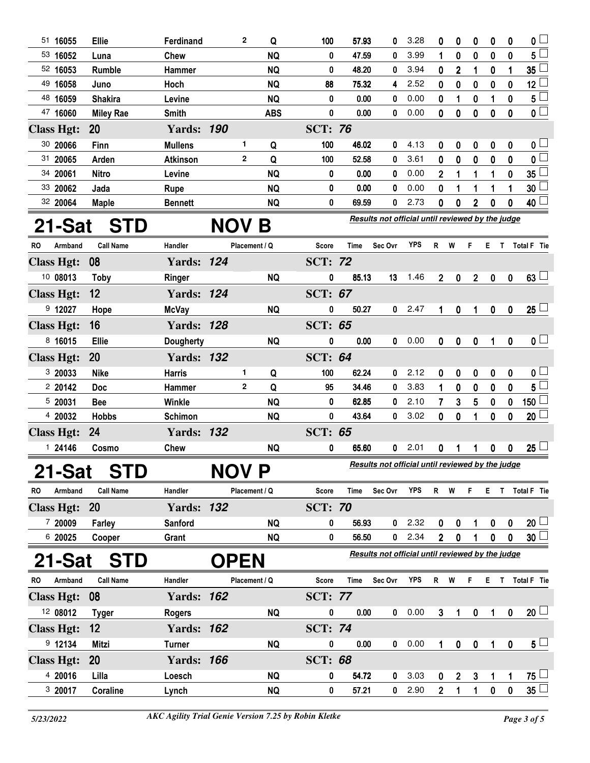| 51 16055             | Ellie            | Ferdinand         |              | 2<br>Q            | 100            | 57.93       | 0                                                | 3.28       | 0              | 0                | 0              | 0                | 0                | $\mathbf{0}$            |
|----------------------|------------------|-------------------|--------------|-------------------|----------------|-------------|--------------------------------------------------|------------|----------------|------------------|----------------|------------------|------------------|-------------------------|
| 53 16052             | Luna             | Chew              |              | <b>NQ</b>         | 0              | 47.59       | 0                                                | 3.99       | 1              | 0                | 0              | 0                | 0                | $5^{\square}$           |
| 52 16053             | Rumble           | Hammer            |              | <b>NQ</b>         | 0              | 48.20       | 0                                                | 3.94       | 0              | $\mathbf{2}$     | 1              | 0                | 1                | 35 <sup>1</sup>         |
| 49 16058             | Juno             | Hoch              |              | <b>NQ</b>         | 88             | 75.32       | 4                                                | 2.52       | 0              | $\bf{0}$         | 0              | 0                | $\bf{0}$         | 12 <sup>1</sup>         |
| 48 16059             | <b>Shakira</b>   | Levine            |              | <b>NQ</b>         | 0              | 0.00        | 0                                                | 0.00       | 0              | 1                | 0              | 1                | $\bf{0}$         | 5 <sup>1</sup>          |
| 47 16060             | <b>Miley Rae</b> | <b>Smith</b>      |              | <b>ABS</b>        | 0              | 0.00        | 0                                                | 0.00       | $\mathbf 0$    | $\bf{0}$         | 0              | $\mathbf 0$      | $\boldsymbol{0}$ | $\overline{\mathbf{0}}$ |
| <b>Class Hgt:</b>    | 20               | <b>Yards: 190</b> |              |                   | <b>SCT: 76</b> |             |                                                  |            |                |                  |                |                  |                  |                         |
| 30 20066             | Finn             | <b>Mullens</b>    |              | 1.<br>Q           | 100            | 46.02       | 0                                                | 4.13       | 0              | 0                | 0              | $\boldsymbol{0}$ | $\boldsymbol{0}$ | 0 <sub>1</sub>          |
| 31 20065             | Arden            | <b>Atkinson</b>   |              | Q<br>$\mathbf{2}$ | 100            | 52.58       | 0                                                | 3.61       | 0              | $\bf{0}$         | 0              | 0                | 0                | $\overline{0}$          |
| 34 20061             | <b>Nitro</b>     | Levine            |              | <b>NQ</b>         | 0              | 0.00        | 0                                                | 0.00       | $\mathbf{2}$   | 1                | 1              | 1                | $\boldsymbol{0}$ | 35 <sub>1</sub>         |
| 33 20062             | Jada             | Rupe              |              | <b>NQ</b>         | 0              | 0.00        | 0                                                | 0.00       | 0              | 1                | 1              | 1                | 1                | 30 <sup>1</sup>         |
| 32 20064             | <b>Maple</b>     | <b>Bennett</b>    |              | <b>NQ</b>         | 0              | 69.59       | 0                                                | 2.73       | 0              | 0                | 2              | 0                | 0                | 40 <sup>1</sup>         |
|                      |                  |                   |              |                   |                |             | Results not official until reviewed by the judge |            |                |                  |                |                  |                  |                         |
| 21-Sat               | <b>STD</b>       |                   | <b>NOV B</b> |                   |                |             |                                                  |            |                |                  |                |                  |                  |                         |
| <b>RO</b><br>Armband | <b>Call Name</b> | Handler           |              | Placement / Q     | Score          | <b>Time</b> | Sec Ovr                                          | <b>YPS</b> | R              | W                | F              | E.               | $\mathbf{T}$     | Total F Tie             |
| <b>Class Hgt:</b>    | 08               | <b>Yards: 124</b> |              |                   | <b>SCT: 72</b> |             |                                                  |            |                |                  |                |                  |                  |                         |
| 10 08013             | <b>Toby</b>      | Ringer            |              | <b>NQ</b>         | 0              | 85.13       | 13                                               | 1.46       | $2^{\circ}$    | $\mathbf 0$      | 2 <sup>7</sup> | $\mathbf 0$      | $\mathbf 0$      | $63 \Box$               |
| <b>Class Hgt:</b>    | 12               | <b>Yards: 124</b> |              |                   | <b>SCT: 67</b> |             |                                                  |            |                |                  |                |                  |                  |                         |
| $9$ 12027            | Hope             | <b>McVay</b>      |              | <b>NQ</b>         | 0              | 50.27       | 0                                                | 2.47       | 1              | 0                | 1              | $\mathbf 0$      | $\mathbf 0$      | $25 \Box$               |
| <b>Class Hgt:</b>    | 16               | <b>Yards: 128</b> |              |                   | <b>SCT: 65</b> |             |                                                  |            |                |                  |                |                  |                  |                         |
| 8 16015              | <b>Ellie</b>     |                   |              | <b>NQ</b>         | 0              | 0.00        | 0                                                | 0.00       | $\mathbf{0}$   | $\boldsymbol{0}$ | $\pmb{0}$      | 1                | $\boldsymbol{0}$ | 0 <sub>1</sub>          |
|                      |                  | <b>Dougherty</b>  |              |                   |                |             |                                                  |            |                |                  |                |                  |                  |                         |
| <b>Class Hgt:</b>    | 20               | <b>Yards: 132</b> |              |                   | <b>SCT: 64</b> |             |                                                  |            |                |                  |                |                  |                  |                         |
| 3 20033              | <b>Nike</b>      | <b>Harris</b>     |              | 1<br>Q            | 100            | 62.24       | 0                                                | 2.12       | 0              | 0                | 0              | 0                | 0                | $\mathbf{0}$ $\Box$     |
| 2 20142              | <b>Doc</b>       | <b>Hammer</b>     |              | Q<br>2            | 95             | 34.46       | 0                                                | 3.83       | 1              | 0                | 0              | 0                | 0                | $5^{\square}$           |
| 5 20031              | <b>Bee</b>       | Winkle            |              | <b>NQ</b>         | 0              | 62.85       | 0                                                | 2.10       | 7              | 3                | 5              | 0                | $\bf{0}$         | $\overline{150}$        |
| 4 20032              | <b>Hobbs</b>     | <b>Schimon</b>    |              | <b>NQ</b>         | 0              | 43.64       | 0                                                | 3.02       | $\mathbf{0}$   | $\bf{0}$         | 1              | 0                | 0                | $20$ $\Box$             |
| <b>Class Hgt:</b>    | 24               | <b>Yards: 132</b> |              |                   | <b>SCT: 65</b> |             |                                                  |            |                |                  |                |                  |                  |                         |
| 1 24146              | Cosmo            | <b>Chew</b>       |              | <b>NQ</b>         | 0              | 65.60       | 0                                                | 2.01       | 0              | 1                |                | $\mathbf 0$      | $\mathbf 0$      | $25\perp$               |
| 21-Sat               | <b>STD</b>       |                   | <b>NOV P</b> |                   |                |             | Results not official until reviewed by the judge |            |                |                  |                |                  |                  |                         |
| RO<br>Armband        | <b>Call Name</b> | Handler           |              | Placement / Q     | Score          | Time        | Sec Ovr                                          | YPS        | R W            |                  | F.             |                  |                  | E T Total F Tie         |
| <b>Class Hgt:</b>    | <b>20</b>        | <b>Yards: 132</b> |              |                   | <b>SCT: 70</b> |             |                                                  |            |                |                  |                |                  |                  |                         |
| 7 20009              | Farley           | <b>Sanford</b>    |              | <b>NQ</b>         | 0              | 56.93       | 0                                                | 2.32       | 0              | 0                |                | 0                | 0                | $20 \Box$               |
| 6 20025              | Cooper           | Grant             |              | <b>NQ</b>         | 0              | 56.50       | 0                                                | 2.34       | $\overline{2}$ | 0                |                | 0                | 0                | 30 <sup>1</sup>         |
| 21-Sat               | <b>STD</b>       |                   | <b>OPEN</b>  |                   |                |             | Results not official until reviewed by the judge |            |                |                  |                |                  |                  |                         |
| Armband<br>RO        | <b>Call Name</b> | Handler           |              | Placement / Q     | <b>Score</b>   | Time        | Sec Ovr                                          | <b>YPS</b> | R W            |                  | F.             |                  |                  | E T Total F Tie         |
| <b>Class Hgt:</b>    | 08               | <b>Yards: 162</b> |              |                   | <b>SCT: 77</b> |             |                                                  |            |                |                  |                |                  |                  |                         |
| 12 08012             | <b>Tyger</b>     | <b>Rogers</b>     |              | <b>NQ</b>         | 0              | 0.00        | 0                                                | 0.00       | 3 <sup>2</sup> | 1                | $\mathbf{0}$   | 1                | $\bf{0}$         | $20$ $\Box$             |
|                      |                  |                   |              |                   |                |             |                                                  |            |                |                  |                |                  |                  |                         |
| <b>Class Hgt:</b>    | 12               | <b>Yards: 162</b> |              |                   | <b>SCT: 74</b> |             |                                                  |            |                |                  |                |                  |                  |                         |
| 9 12134              | <b>Mitzi</b>     | <b>Turner</b>     |              | <b>NQ</b>         | 0              | 0.00        | $\mathbf{0}$                                     | 0.00       | 1              | $\bf{0}$         | $\pmb{0}$      | 1                | $\boldsymbol{0}$ | $5\perp$                |
| <b>Class Hgt:</b>    | <b>20</b>        | <b>Yards: 166</b> |              |                   | <b>SCT: 68</b> |             |                                                  |            |                |                  |                |                  |                  |                         |
| 4 20016              | Lilla            | Loesch            |              | <b>NQ</b>         | 0              | 54.72       | 0                                                | 3.03       | 0              | 2                | $\mathbf{3}$   | 1                | 1                | $75 \Box$               |
| 3 20017              | Coraline         | Lynch             |              | <b>NQ</b>         | 0              | 57.21       | 0                                                | 2.90       | $\overline{2}$ | 1                | 1              | $\pmb{0}$        | $\mathbf 0$      | $35 \Box$               |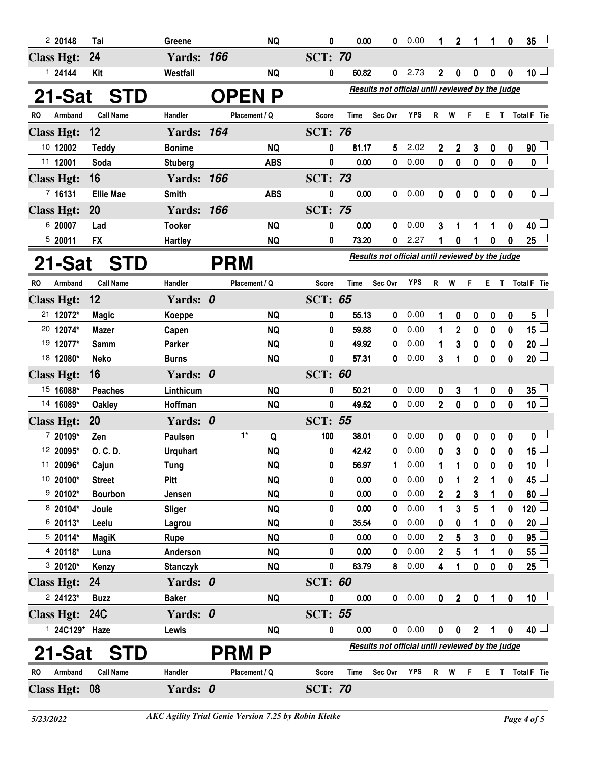| 220148                                                                                   | Tai              | Greene            |            | <b>NQ</b>     | 0              | 0.00        | 0                                                | 0.00       | 1                       | $\mathbf{2}$     | 1                | 1            | 0                | 35 <sup>1</sup>    |
|------------------------------------------------------------------------------------------|------------------|-------------------|------------|---------------|----------------|-------------|--------------------------------------------------|------------|-------------------------|------------------|------------------|--------------|------------------|--------------------|
| <b>Class Hgt:</b>                                                                        | 24               | <b>Yards: 166</b> |            |               | <b>SCT: 70</b> |             |                                                  |            |                         |                  |                  |              |                  |                    |
| 124144                                                                                   | Kit              | Westfall          |            | <b>NQ</b>     | 0              | 60.82       | 0                                                | 2.73       | $\overline{2}$          | $\boldsymbol{0}$ | $\boldsymbol{0}$ | 0            | $\boldsymbol{0}$ | 10 <sup>L</sup>    |
| Results not official until reviewed by the judge<br>21-Sat<br><b>OPENP</b><br><b>STD</b> |                  |                   |            |               |                |             |                                                  |            |                         |                  |                  |              |                  |                    |
| RO<br>Armband                                                                            | <b>Call Name</b> | Handler           |            | Placement / Q | <b>Score</b>   | <b>Time</b> | Sec Ovr                                          | <b>YPS</b> | R                       | W                | F                | Е            | T                | Total F Tie        |
| <b>Class Hgt:</b>                                                                        | 12               | <b>Yards: 164</b> |            |               | <b>SCT: 76</b> |             |                                                  |            |                         |                  |                  |              |                  |                    |
| 10 12002                                                                                 | <b>Teddy</b>     | <b>Bonime</b>     |            | <b>NQ</b>     | 0              | 81.17       | 5                                                | 2.02       | $\overline{2}$          | $\mathbf 2$      | 3                | 0            | $\boldsymbol{0}$ | 90 <sup>1</sup>    |
| 11 12001                                                                                 | Soda             | <b>Stuberg</b>    |            | <b>ABS</b>    | 0              | 0.00        | 0                                                | 0.00       | $\mathbf{0}$            | $\mathbf 0$      | $\pmb{0}$        | $\bf{0}$     | $\pmb{0}$        | 0 <sub>1</sub>     |
| <b>Class Hgt:</b>                                                                        | 16               | <b>Yards: 166</b> |            |               | <b>SCT: 73</b> |             |                                                  |            |                         |                  |                  |              |                  |                    |
| 7 16131                                                                                  | <b>Ellie Mae</b> | <b>Smith</b>      |            | <b>ABS</b>    | 0              | 0.00        | 0                                                | 0.00       | $\mathbf 0$             | 0                | $\pmb{0}$        | $\pmb{0}$    | $\mathbf 0$      | 0 <sub>1</sub>     |
| <b>Class Hgt:</b>                                                                        | <b>20</b>        | <b>Yards: 166</b> |            |               | <b>SCT: 75</b> |             |                                                  |            |                         |                  |                  |              |                  |                    |
| 6 20007                                                                                  | Lad              | <b>Tooker</b>     |            | <b>NQ</b>     | 0              | 0.00        | 0                                                | 0.00       | 3                       |                  |                  | 1            | 0                | 40 <sup>1</sup>    |
| 5 20011                                                                                  | <b>FX</b>        | <b>Hartley</b>    |            | <b>NQ</b>     | 0              | 73.20       | 0                                                | 2.27       |                         | 0                |                  | 0            | 0                | $25\perp$          |
| 21-Sat                                                                                   | <b>STD</b>       |                   | <b>PRM</b> |               |                |             | Results not official until reviewed by the judge |            |                         |                  |                  |              |                  |                    |
| RO<br>Armband                                                                            | <b>Call Name</b> | Handler           |            | Placement / Q | Score          | <b>Time</b> | Sec Ovr                                          | <b>YPS</b> | R                       | W                | F                | Е            | $\mathsf{T}$     | Total F Tie        |
| <b>Class Hgt:</b>                                                                        | 12               | Yards: 0          |            |               | <b>SCT: 65</b> |             |                                                  |            |                         |                  |                  |              |                  |                    |
| 21 12072*                                                                                | <b>Magic</b>     | Koeppe            |            | <b>NQ</b>     | 0              | 55.13       | 0                                                | 0.00       | 1                       | 0                | 0                | 0            | 0                | $5^{\perp}$        |
| 20 12074*                                                                                | <b>Mazer</b>     | Capen             |            | <b>NQ</b>     | 0              | 59.88       | 0                                                | 0.00       | 1                       | $\overline{2}$   | 0                | 0            | 0                | 15 <sup>1</sup>    |
| 19 12077*                                                                                | Samm             | Parker            |            | <b>NQ</b>     | 0              | 49.92       | 0                                                | 0.00       | 1                       | 3                | 0                | 0            | 0                | 20 <sup>1</sup>    |
| 18 12080*                                                                                | <b>Neko</b>      | <b>Burns</b>      |            | <b>NQ</b>     | 0              | 57.31       | 0                                                | 0.00       | 3                       | 1                | $\bf{0}$         | $\bf{0}$     | 0                | $20\perp$          |
| <b>Class Hgt:</b>                                                                        | 16               | Yards: 0          |            |               | <b>SCT: 60</b> |             |                                                  |            |                         |                  |                  |              |                  |                    |
| 15 16088*                                                                                | <b>Peaches</b>   | Linthicum         |            | NQ            | 0              | 50.21       | 0                                                | 0.00       | 0                       | 3                | 1                | 0            | $\boldsymbol{0}$ | $35^{\frac{1}{2}}$ |
| 14 16089*                                                                                | <b>Oakley</b>    | Hoffman           |            | <b>NQ</b>     | 0              | 49.52       | 0                                                | 0.00       | $\overline{2}$          | $\mathbf 0$      | $\mathbf 0$      | $\mathbf 0$  | $\mathbf{0}$     | $10\perp$          |
| <b>Class Hgt:</b>                                                                        | <b>20</b>        | Yards: 0          |            |               | <b>SCT: 55</b> |             |                                                  |            |                         |                  |                  |              |                  |                    |
| 7 20109*                                                                                 | Zen              | Paulsen           |            | $1*$<br>Q     | 100            | 38.01       | 0                                                | 0.00       | 0                       | 0                | 0                | 0            | 0                | 0 <sub>1</sub>     |
| 12 20095*                                                                                | O. C. D.         | <b>Urquhart</b>   |            | <b>NQ</b>     | 0              | 42.42       | 0                                                | 0.00       | 0                       | $\mathbf{3}$     | 0                | $\mathbf 0$  | $\mathbf{0}$     | 15 L               |
| 11 20096*                                                                                | Cajun            | <b>Tung</b>       |            | <b>NQ</b>     | 0              | 56.97       |                                                  | 0.00       | 1                       | 1                | 0                | $\mathbf 0$  | 0                | 10 <sup>1</sup>    |
| 10 20100*                                                                                | <b>Street</b>    | <b>Pitt</b>       |            | <b>NQ</b>     | 0              | 0.00        | 0                                                | 0.00       | 0                       | 1                | $\mathbf 2$      | 1            | 0                | 45 <sup>1</sup>    |
| $920102*$                                                                                | <b>Bourbon</b>   | Jensen            |            | <b>NQ</b>     | 0              | 0.00        | 0                                                | 0.00       | 2                       | $\mathbf 2$      | 3                | 1            | 0                | 80                 |
| 8 20104*                                                                                 | Joule            | Sliger            |            | <b>NQ</b>     | 0              | 0.00        | 0                                                | 0.00       | 1                       | 3                | 5                | 1            | 0                | 120                |
| 6 20113*                                                                                 | Leelu            | Lagrou            |            | <b>NQ</b>     | 0              | 35.54       | 0                                                | 0.00       | 0                       | 0                | 1                | 0            | 0                | 20                 |
| $520114*$                                                                                | <b>MagiK</b>     | Rupe              |            | <b>NQ</b>     | 0              | 0.00        | 0                                                | 0.00       | $\overline{2}$          | 5                | 3                | 0            | 0                | 95                 |
| 4 20118*                                                                                 | Luna             | Anderson          |            | <b>NQ</b>     | 0              | 0.00        | 0                                                | 0.00       | 2                       | 5                | 1                | 1            | 0                | 55                 |
| $320120*$                                                                                | Kenzy            | <b>Stanczyk</b>   |            | <b>NQ</b>     | 0              | 63.79       | 8                                                | 0.00       | $\overline{\mathbf{4}}$ | 1                | 0                | $\mathbf 0$  | $\mathbf 0$      | 25 <sup>1</sup>    |
| <b>Class Hgt:</b>                                                                        | 24               | Yards: 0          |            |               | <b>SCT: 60</b> |             |                                                  |            |                         |                  |                  |              |                  |                    |
| $224123*$                                                                                | <b>Buzz</b>      | <b>Baker</b>      |            | <b>NQ</b>     | 0              | 0.00        | 0                                                | 0.00       | $\mathbf{0}$            | $\boldsymbol{2}$ | $\pmb{0}$        | $\mathbf{1}$ | $\mathbf 0$      | 10 <sup>1</sup>    |
| Class Hgt: 24C                                                                           |                  | Yards: 0          |            |               | <b>SCT: 55</b> |             |                                                  |            |                         |                  |                  |              |                  |                    |
| 1 24C129* Haze                                                                           |                  | Lewis             |            | <b>NQ</b>     | 0              | 0.00        | 0                                                | 0.00       | $\mathbf 0$             | $\pmb{0}$        | $\boldsymbol{2}$ | $\mathbf 1$  | $\boldsymbol{0}$ | 40 <sup>1</sup>    |
| 21-Sat                                                                                   | <b>STD</b>       |                   |            | PRM P         |                |             | Results not official until reviewed by the judge |            |                         |                  |                  |              |                  |                    |
| Armband<br>RO                                                                            | <b>Call Name</b> | Handler           |            | Placement / Q | <b>Score</b>   | Time        | Sec Ovr                                          | <b>YPS</b> | $\mathsf{R}$            | W                | F                | Е            |                  | T Total F Tie      |
| Class Hgt: 08                                                                            |                  | Yards: 0          |            |               | <b>SCT: 70</b> |             |                                                  |            |                         |                  |                  |              |                  |                    |
|                                                                                          |                  |                   |            |               |                |             |                                                  |            |                         |                  |                  |              |                  |                    |